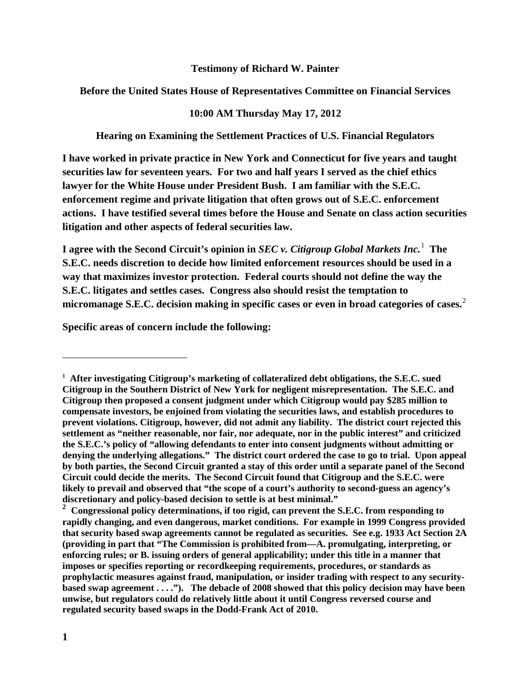## **Testimony of Richard W. Painter**

## **Before the United States House of Representatives Committee on Financial Services**

## **10:00 AM Thursday May 17, 2012**

**Hearing on Examining the Settlement Practices of U.S. Financial Regulators**

**I have worked in private practice in New York and Connecticut for five years and taught securities law for seventeen years. For two and half years I served as the chief ethics lawyer for the White House under President Bush. I am familiar with the S.E.C. enforcement regime and private litigation that often grows out of S.E.C. enforcement actions. I have testified several times before the House and Senate on class action securities litigation and other aspects of federal securities law.** 

**I** agree with the Second Circuit's opinion in *SEC v. Citigroup Global Markets Inc.*  $^1$  $^1$  The **S.E.C. needs discretion to decide how limited enforcement resources should be used in a way that maximizes investor protection. Federal courts should not define the way the S.E.C. litigates and settles cases. Congress also should resist the temptation to micromanage S.E.C. decision making in specific cases or even in broad categories of cases.**[2](#page-0-1)

**Specific areas of concern include the following:**

<span id="page-0-0"></span>**<sup>1</sup> After investigating Citigroup's marketing of collateralized debt obligations, the S.E.C. sued Citigroup in the Southern District of New York for negligent misrepresentation. The S.E.C. and Citigroup then proposed a consent judgment under which Citigroup would pay \$285 million to compensate investors, be enjoined from violating the securities laws, and establish procedures to prevent violations. Citigroup, however, did not admit any liability. The district court rejected this settlement as "neither reasonable, nor fair, nor adequate, nor in the public interest" and criticized the S.E.C.'s policy of "allowing defendants to enter into consent judgments without admitting or denying the underlying allegations." The district court ordered the case to go to trial. Upon appeal by both parties, the Second Circuit granted a stay of this order until a separate panel of the Second Circuit could decide the merits. The Second Circuit found that Citigroup and the S.E.C. were likely to prevail and observed that "the scope of a court's authority to second-guess an agency's discretionary and policy-based decision to settle is at best minimal."**

<span id="page-0-1"></span>**<sup>2</sup> Congressional policy determinations, if too rigid, can prevent the S.E.C. from responding to rapidly changing, and even dangerous, market conditions. For example in 1999 Congress provided that security based swap agreements cannot be regulated as securities. See e.g. 1933 Act Section 2A (providing in part that "The Commission is prohibited from—A. promulgating, interpreting, or enforcing rules; or B. issuing orders of general applicability; under this title in a manner that imposes or specifies reporting or recordkeeping requirements, procedures, or standards as prophylactic measures against fraud, manipulation, or insider trading with respect to any securitybased swap agreement . . . ."). The debacle of 2008 showed that this policy decision may have been unwise, but regulators could do relatively little about it until Congress reversed course and regulated security based swaps in the Dodd-Frank Act of 2010.**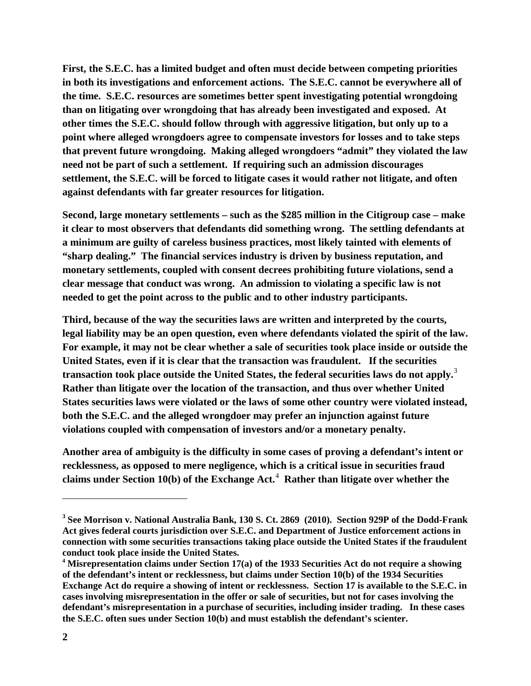**First, the S.E.C. has a limited budget and often must decide between competing priorities in both its investigations and enforcement actions. The S.E.C. cannot be everywhere all of the time. S.E.C. resources are sometimes better spent investigating potential wrongdoing than on litigating over wrongdoing that has already been investigated and exposed. At other times the S.E.C. should follow through with aggressive litigation, but only up to a point where alleged wrongdoers agree to compensate investors for losses and to take steps that prevent future wrongdoing. Making alleged wrongdoers "admit" they violated the law need not be part of such a settlement. If requiring such an admission discourages settlement, the S.E.C. will be forced to litigate cases it would rather not litigate, and often against defendants with far greater resources for litigation.** 

**Second, large monetary settlements – such as the \$285 million in the Citigroup case – make it clear to most observers that defendants did something wrong. The settling defendants at a minimum are guilty of careless business practices, most likely tainted with elements of "sharp dealing." The financial services industry is driven by business reputation, and monetary settlements, coupled with consent decrees prohibiting future violations, send a clear message that conduct was wrong. An admission to violating a specific law is not needed to get the point across to the public and to other industry participants.** 

**Third, because of the way the securities laws are written and interpreted by the courts, legal liability may be an open question, even where defendants violated the spirit of the law. For example, it may not be clear whether a sale of securities took place inside or outside the United States, even if it is clear that the transaction was fraudulent. If the securities transaction took place outside the United States, the federal securities laws do not apply.**[3](#page-1-0)  **Rather than litigate over the location of the transaction, and thus over whether United States securities laws were violated or the laws of some other country were violated instead, both the S.E.C. and the alleged wrongdoer may prefer an injunction against future violations coupled with compensation of investors and/or a monetary penalty.** 

**Another area of ambiguity is the difficulty in some cases of proving a defendant's intent or recklessness, as opposed to mere negligence, which is a critical issue in securities fraud claims under Section 10(b) of the Exchange Act.** [4](#page-1-1)  **Rather than litigate over whether the** 

<span id="page-1-0"></span>**<sup>3</sup> See Morrison v. National Australia Bank, 130 S. Ct. 2869 (2010). Section 929P of the Dodd-Frank Act gives federal courts jurisdiction over S.E.C. and Department of Justice enforcement actions in connection with some securities transactions taking place outside the United States if the fraudulent conduct took place inside the United States.** 

<span id="page-1-1"></span>**<sup>4</sup> Misrepresentation claims under Section 17(a) of the 1933 Securities Act do not require a showing of the defendant's intent or recklessness, but claims under Section 10(b) of the 1934 Securities Exchange Act do require a showing of intent or recklessness. Section 17 is available to the S.E.C. in cases involving misrepresentation in the offer or sale of securities, but not for cases involving the defendant's misrepresentation in a purchase of securities, including insider trading. In these cases the S.E.C. often sues under Section 10(b) and must establish the defendant's scienter.**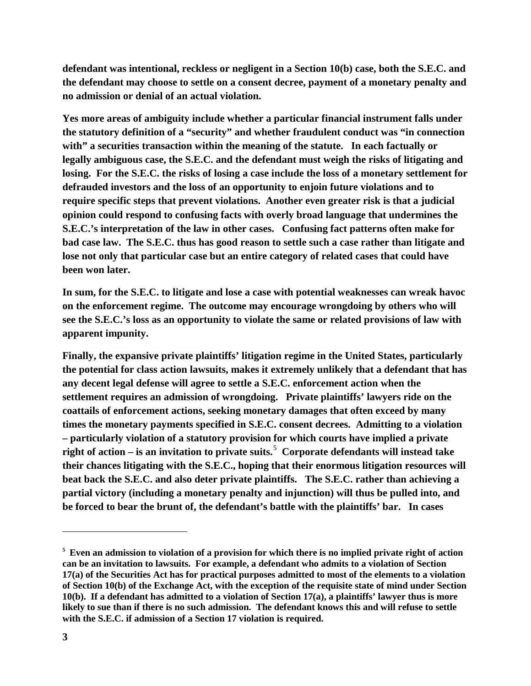**defendant was intentional, reckless or negligent in a Section 10(b) case, both the S.E.C. and the defendant may choose to settle on a consent decree, payment of a monetary penalty and no admission or denial of an actual violation.**

**Yes more areas of ambiguity include whether a particular financial instrument falls under the statutory definition of a "security" and whether fraudulent conduct was "in connection with" a securities transaction within the meaning of the statute. In each factually or legally ambiguous case, the S.E.C. and the defendant must weigh the risks of litigating and losing. For the S.E.C. the risks of losing a case include the loss of a monetary settlement for defrauded investors and the loss of an opportunity to enjoin future violations and to require specific steps that prevent violations. Another even greater risk is that a judicial opinion could respond to confusing facts with overly broad language that undermines the S.E.C.'s interpretation of the law in other cases. Confusing fact patterns often make for bad case law. The S.E.C. thus has good reason to settle such a case rather than litigate and lose not only that particular case but an entire category of related cases that could have been won later.**

**In sum, for the S.E.C. to litigate and lose a case with potential weaknesses can wreak havoc on the enforcement regime. The outcome may encourage wrongdoing by others who will see the S.E.C.'s loss as an opportunity to violate the same or related provisions of law with apparent impunity.** 

**Finally, the expansive private plaintiffs' litigation regime in the United States, particularly the potential for class action lawsuits, makes it extremely unlikely that a defendant that has any decent legal defense will agree to settle a S.E.C. enforcement action when the settlement requires an admission of wrongdoing. Private plaintiffs' lawyers ride on the coattails of enforcement actions, seeking monetary damages that often exceed by many times the monetary payments specified in S.E.C. consent decrees. Admitting to a violation – particularly violation of a statutory provision for which courts have implied a private right of action – is an invitation to private suits.**[5](#page-2-0)  **Corporate defendants will instead take their chances litigating with the S.E.C., hoping that their enormous litigation resources will beat back the S.E.C. and also deter private plaintiffs. The S.E.C. rather than achieving a partial victory (including a monetary penalty and injunction) will thus be pulled into, and be forced to bear the brunt of, the defendant's battle with the plaintiffs' bar. In cases** 

<span id="page-2-0"></span><sup>&</sup>lt;sup>5</sup> Even an admission to violation of a provision for which there is no implied private right of action **can be an invitation to lawsuits. For example, a defendant who admits to a violation of Section 17(a) of the Securities Act has for practical purposes admitted to most of the elements to a violation of Section 10(b) of the Exchange Act, with the exception of the requisite state of mind under Section 10(b). If a defendant has admitted to a violation of Section 17(a), a plaintiffs' lawyer thus is more likely to sue than if there is no such admission. The defendant knows this and will refuse to settle with the S.E.C. if admission of a Section 17 violation is required.**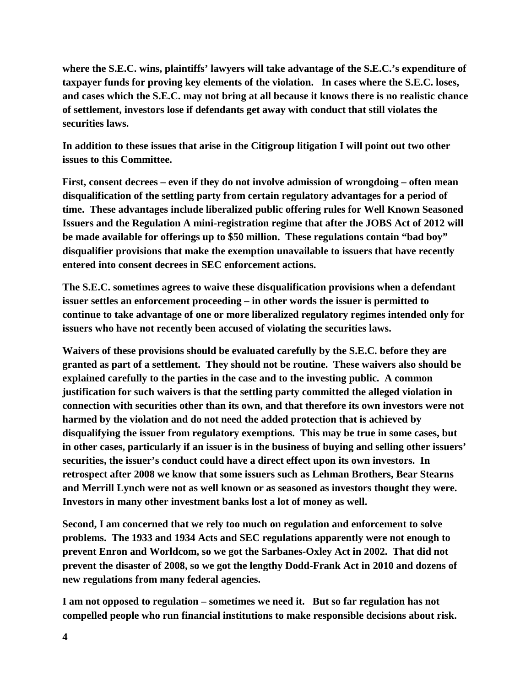**where the S.E.C. wins, plaintiffs' lawyers will take advantage of the S.E.C.'s expenditure of taxpayer funds for proving key elements of the violation. In cases where the S.E.C. loses, and cases which the S.E.C. may not bring at all because it knows there is no realistic chance of settlement, investors lose if defendants get away with conduct that still violates the securities laws.** 

**In addition to these issues that arise in the Citigroup litigation I will point out two other issues to this Committee.**

**First, consent decrees – even if they do not involve admission of wrongdoing – often mean disqualification of the settling party from certain regulatory advantages for a period of time. These advantages include liberalized public offering rules for Well Known Seasoned Issuers and the Regulation A mini-registration regime that after the JOBS Act of 2012 will be made available for offerings up to \$50 million. These regulations contain "bad boy" disqualifier provisions that make the exemption unavailable to issuers that have recently entered into consent decrees in SEC enforcement actions.**

**The S.E.C. sometimes agrees to waive these disqualification provisions when a defendant issuer settles an enforcement proceeding – in other words the issuer is permitted to continue to take advantage of one or more liberalized regulatory regimes intended only for issuers who have not recently been accused of violating the securities laws.**

**Waivers of these provisions should be evaluated carefully by the S.E.C. before they are granted as part of a settlement. They should not be routine. These waivers also should be explained carefully to the parties in the case and to the investing public. A common justification for such waivers is that the settling party committed the alleged violation in connection with securities other than its own, and that therefore its own investors were not harmed by the violation and do not need the added protection that is achieved by disqualifying the issuer from regulatory exemptions. This may be true in some cases, but in other cases, particularly if an issuer is in the business of buying and selling other issuers' securities, the issuer's conduct could have a direct effect upon its own investors. In retrospect after 2008 we know that some issuers such as Lehman Brothers, Bear Stearns and Merrill Lynch were not as well known or as seasoned as investors thought they were. Investors in many other investment banks lost a lot of money as well.**

**Second, I am concerned that we rely too much on regulation and enforcement to solve problems. The 1933 and 1934 Acts and SEC regulations apparently were not enough to prevent Enron and Worldcom, so we got the Sarbanes-Oxley Act in 2002. That did not prevent the disaster of 2008, so we got the lengthy Dodd-Frank Act in 2010 and dozens of new regulations from many federal agencies.** 

**I am not opposed to regulation – sometimes we need it. But so far regulation has not compelled people who run financial institutions to make responsible decisions about risk.**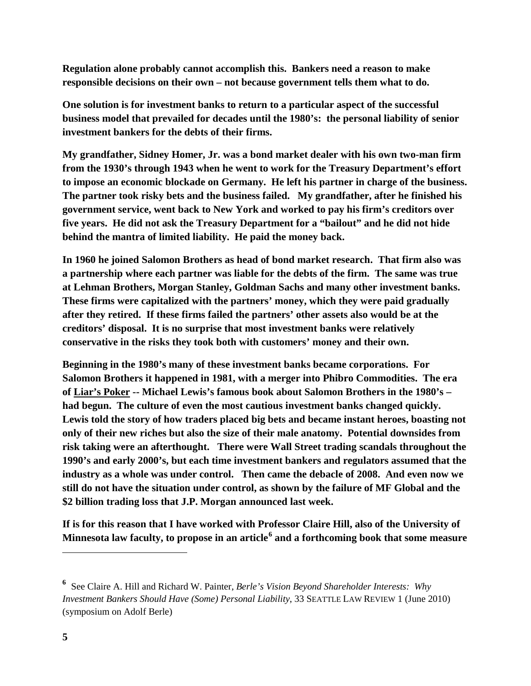**Regulation alone probably cannot accomplish this. Bankers need a reason to make responsible decisions on their own – not because government tells them what to do.** 

**One solution is for investment banks to return to a particular aspect of the successful business model that prevailed for decades until the 1980's: the personal liability of senior investment bankers for the debts of their firms.** 

**My grandfather, Sidney Homer, Jr. was a bond market dealer with his own two-man firm from the 1930's through 1943 when he went to work for the Treasury Department's effort to impose an economic blockade on Germany. He left his partner in charge of the business. The partner took risky bets and the business failed. My grandfather, after he finished his government service, went back to New York and worked to pay his firm's creditors over five years. He did not ask the Treasury Department for a "bailout" and he did not hide behind the mantra of limited liability. He paid the money back.** 

**In 1960 he joined Salomon Brothers as head of bond market research. That firm also was a partnership where each partner was liable for the debts of the firm. The same was true at Lehman Brothers, Morgan Stanley, Goldman Sachs and many other investment banks. These firms were capitalized with the partners' money, which they were paid gradually after they retired. If these firms failed the partners' other assets also would be at the creditors' disposal. It is no surprise that most investment banks were relatively conservative in the risks they took both with customers' money and their own.** 

**Beginning in the 1980's many of these investment banks became corporations. For Salomon Brothers it happened in 1981, with a merger into Phibro Commodities. The era of Liar's Poker -- Michael Lewis's famous book about Salomon Brothers in the 1980's – had begun. The culture of even the most cautious investment banks changed quickly. Lewis told the story of how traders placed big bets and became instant heroes, boasting not only of their new riches but also the size of their male anatomy. Potential downsides from risk taking were an afterthought. There were Wall Street trading scandals throughout the 1990's and early 2000's, but each time investment bankers and regulators assumed that the industry as a whole was under control. Then came the debacle of 2008. And even now we still do not have the situation under control, as shown by the failure of MF Global and the \$2 billion trading loss that J.P. Morgan announced last week.**

**If is for this reason that I have worked with Professor Claire Hill, also of the University of Minnesota law faculty, to propose in an article[6](#page-4-0) and a forthcoming book that some measure** 

<span id="page-4-0"></span>**<sup>6</sup>** See Claire A. Hill and Richard W. Painter, *Berle's Vision Beyond Shareholder Interests: Why Investment Bankers Should Have (Some) Personal Liability*, 33 SEATTLE LAW REVIEW 1 (June 2010) (symposium on Adolf Berle)